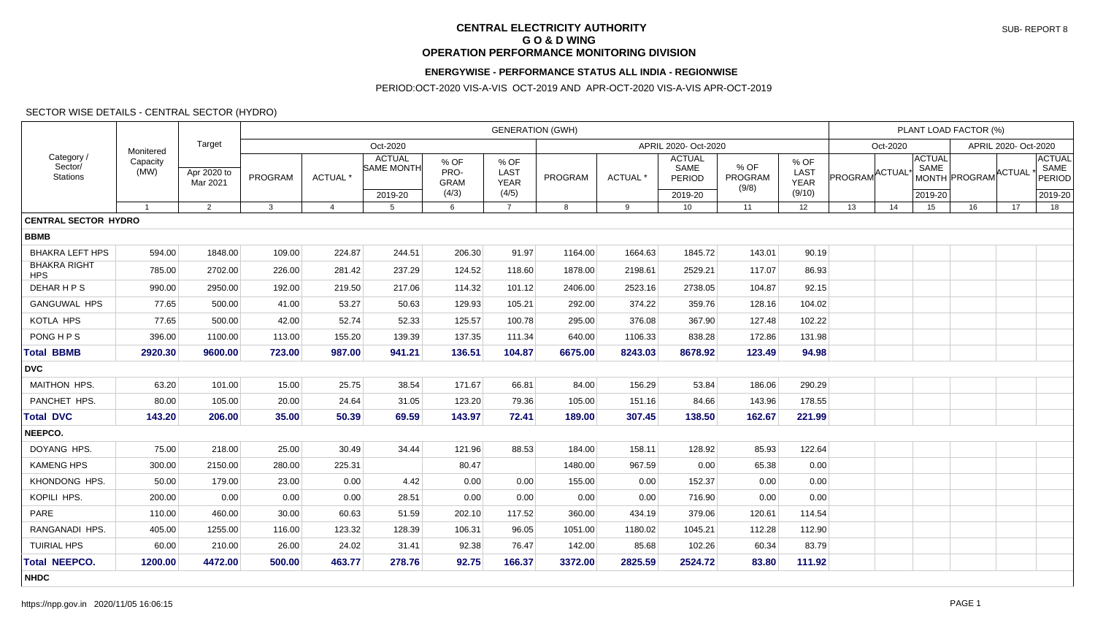#### **CENTRAL ELECTRICITY AUTHORITY G O & D WING OPERATION PERFORMANCE MONITORING DIVISION**

### **ENERGYWISE - PERFORMANCE STATUS ALL INDIA - REGIONWISE**

PERIOD:OCT-2020 VIS-A-VIS OCT-2019 AND APR-OCT-2020 VIS-A-VIS APR-OCT-2019

### SECTOR WISE DETAILS - CENTRAL SECTOR (HYDRO)

| Category /<br>Sector/<br>Stations |                               | Target                  | <b>GENERATION (GWH)</b> |                |                |                                        |                                      |                                             |         |                      |                                                   |                          |                                              |                           |    | PLANT LOAD FACTOR (%)            | SAME<br>MONTH PROGRAM ACTUAL<br>2019-20<br>17<br>18 |  |                                |  |  |  |
|-----------------------------------|-------------------------------|-------------------------|-------------------------|----------------|----------------|----------------------------------------|--------------------------------------|---------------------------------------------|---------|----------------------|---------------------------------------------------|--------------------------|----------------------------------------------|---------------------------|----|----------------------------------|-----------------------------------------------------|--|--------------------------------|--|--|--|
|                                   | Monitered<br>Capacity<br>(MW) |                         |                         |                | Oct-2020       |                                        |                                      |                                             |         | APRIL 2020- Oct-2020 |                                                   |                          |                                              | Oct-2020                  |    | APRIL 2020- Oct-2020             |                                                     |  |                                |  |  |  |
|                                   |                               | Apr 2020 to<br>Mar 2021 | PROGRAM                 |                | <b>ACTUAL*</b> | <b>ACTUAL</b><br>SAME MONTH<br>2019-20 | % OF<br>PRO-<br><b>GRAM</b><br>(4/3) | % OF<br><b>LAST</b><br><b>YEAR</b><br>(4/5) | PROGRAM | ACTUAL <sup>*</sup>  | <b>ACTUAL</b><br>SAME<br><b>PERIOD</b><br>2019-20 | % OF<br>PROGRAM<br>(9/8) | % OF<br><b>LAST</b><br><b>YEAR</b><br>(9/10) | PROGRAM <sup>ACTUAL</sup> |    | <b>ACTUAL</b><br>SAME<br>2019-20 |                                                     |  | <b>ACTUAL</b><br><b>PERIOD</b> |  |  |  |
|                                   | $\overline{1}$                | 2                       | 3                       | $\overline{a}$ | $5^{\circ}$    | 6                                      | $\overline{7}$                       | 8                                           | 9       | 10                   | 11                                                | 12                       | 13                                           | 14                        | 15 | 16                               |                                                     |  |                                |  |  |  |
| <b>CENTRAL SECTOR HYDRO</b>       |                               |                         |                         |                |                |                                        |                                      |                                             |         |                      |                                                   |                          |                                              |                           |    |                                  |                                                     |  |                                |  |  |  |
| <b>BBMB</b>                       |                               |                         |                         |                |                |                                        |                                      |                                             |         |                      |                                                   |                          |                                              |                           |    |                                  |                                                     |  |                                |  |  |  |
| <b>BHAKRA LEFT HPS</b>            | 594.00                        | 1848.00                 | 109.00                  | 224.87         | 244.51         | 206.30                                 | 91.97                                | 1164.00                                     | 1664.63 | 1845.72              | 143.01                                            | 90.19                    |                                              |                           |    |                                  |                                                     |  |                                |  |  |  |
| <b>BHAKRA RIGHT</b><br><b>HPS</b> | 785.00                        | 2702.00                 | 226.00                  | 281.42         | 237.29         | 124.52                                 | 118.60                               | 1878.00                                     | 2198.61 | 2529.21              | 117.07                                            | 86.93                    |                                              |                           |    |                                  |                                                     |  |                                |  |  |  |
| DEHAR H P S                       | 990.00                        | 2950.00                 | 192.00                  | 219.50         | 217.06         | 114.32                                 | 101.12                               | 2406.00                                     | 2523.16 | 2738.05              | 104.87                                            | 92.15                    |                                              |                           |    |                                  |                                                     |  |                                |  |  |  |
| <b>GANGUWAL HPS</b>               | 77.65                         | 500.00                  | 41.00                   | 53.27          | 50.63          | 129.93                                 | 105.21                               | 292.00                                      | 374.22  | 359.76               | 128.16                                            | 104.02                   |                                              |                           |    |                                  |                                                     |  |                                |  |  |  |
| KOTLA HPS                         | 77.65                         | 500.00                  | 42.00                   | 52.74          | 52.33          | 125.57                                 | 100.78                               | 295.00                                      | 376.08  | 367.90               | 127.48                                            | 102.22                   |                                              |                           |    |                                  |                                                     |  |                                |  |  |  |
| <b>PONG HPS</b>                   | 396.00                        | 1100.00                 | 113.00                  | 155.20         | 139.39         | 137.35                                 | 111.34                               | 640.00                                      | 1106.33 | 838.28               | 172.86                                            | 131.98                   |                                              |                           |    |                                  |                                                     |  |                                |  |  |  |
| <b>Total BBMB</b>                 | 2920.30                       | 9600.00                 | 723.00                  | 987.00         | 941.21         | 136.51                                 | 104.87                               | 6675.00                                     | 8243.03 | 8678.92              | 123.49                                            | 94.98                    |                                              |                           |    |                                  |                                                     |  |                                |  |  |  |
| <b>DVC</b>                        |                               |                         |                         |                |                |                                        |                                      |                                             |         |                      |                                                   |                          |                                              |                           |    |                                  |                                                     |  |                                |  |  |  |
| <b>MAITHON HPS.</b>               | 63.20                         | 101.00                  | 15.00                   | 25.75          | 38.54          | 171.67                                 | 66.81                                | 84.00                                       | 156.29  | 53.84                | 186.06                                            | 290.29                   |                                              |                           |    |                                  |                                                     |  |                                |  |  |  |
| PANCHET HPS.                      | 80.00                         | 105.00                  | 20.00                   | 24.64          | 31.05          | 123.20                                 | 79.36                                | 105.00                                      | 151.16  | 84.66                | 143.96                                            | 178.55                   |                                              |                           |    |                                  |                                                     |  |                                |  |  |  |
| <b>Total DVC</b>                  | 143.20                        | 206.00                  | 35.00                   | 50.39          | 69.59          | 143.97                                 | 72.41                                | 189.00                                      | 307.45  | 138.50               | 162.67                                            | 221.99                   |                                              |                           |    |                                  |                                                     |  |                                |  |  |  |
| NEEPCO.                           |                               |                         |                         |                |                |                                        |                                      |                                             |         |                      |                                                   |                          |                                              |                           |    |                                  |                                                     |  |                                |  |  |  |
| DOYANG HPS.                       | 75.00                         | 218.00                  | 25.00                   | 30.49          | 34.44          | 121.96                                 | 88.53                                | 184.00                                      | 158.11  | 128.92               | 85.93                                             | 122.64                   |                                              |                           |    |                                  |                                                     |  |                                |  |  |  |
| <b>KAMENG HPS</b>                 | 300.00                        | 2150.00                 | 280.00                  | 225.31         |                | 80.47                                  |                                      | 1480.00                                     | 967.59  | 0.00                 | 65.38                                             | 0.00                     |                                              |                           |    |                                  |                                                     |  |                                |  |  |  |
| KHONDONG HPS.                     | 50.00                         | 179.00                  | 23.00                   | 0.00           | 4.42           | 0.00                                   | 0.00                                 | 155.00                                      | 0.00    | 152.37               | 0.00                                              | 0.00                     |                                              |                           |    |                                  |                                                     |  |                                |  |  |  |
| KOPILI HPS.                       | 200.00                        | 0.00                    | 0.00                    | 0.00           | 28.51          | 0.00                                   | 0.00                                 | 0.00                                        | 0.00    | 716.90               | 0.00                                              | 0.00                     |                                              |                           |    |                                  |                                                     |  |                                |  |  |  |
| PARE                              | 110.00                        | 460.00                  | 30.00                   | 60.63          | 51.59          | 202.10                                 | 117.52                               | 360.00                                      | 434.19  | 379.06               | 120.61                                            | 114.54                   |                                              |                           |    |                                  |                                                     |  |                                |  |  |  |
| RANGANADI HPS.                    | 405.00                        | 1255.00                 | 116.00                  | 123.32         | 128.39         | 106.31                                 | 96.05                                | 1051.00                                     | 1180.02 | 1045.21              | 112.28                                            | 112.90                   |                                              |                           |    |                                  |                                                     |  |                                |  |  |  |
| <b>TUIRIAL HPS</b>                | 60.00                         | 210.00                  | 26.00                   | 24.02          | 31.41          | 92.38                                  | 76.47                                | 142.00                                      | 85.68   | 102.26               | 60.34                                             | 83.79                    |                                              |                           |    |                                  |                                                     |  |                                |  |  |  |
| <b>Total NEEPCO.</b>              | 1200.00                       | 4472.00                 | 500.00                  | 463.77         | 278.76         | 92.75                                  | 166.37                               | 3372.00                                     | 2825.59 | 2524.72              | 83.80                                             | 111.92                   |                                              |                           |    |                                  |                                                     |  |                                |  |  |  |
| <b>NHDC</b>                       |                               |                         |                         |                |                |                                        |                                      |                                             |         |                      |                                                   |                          |                                              |                           |    |                                  |                                                     |  |                                |  |  |  |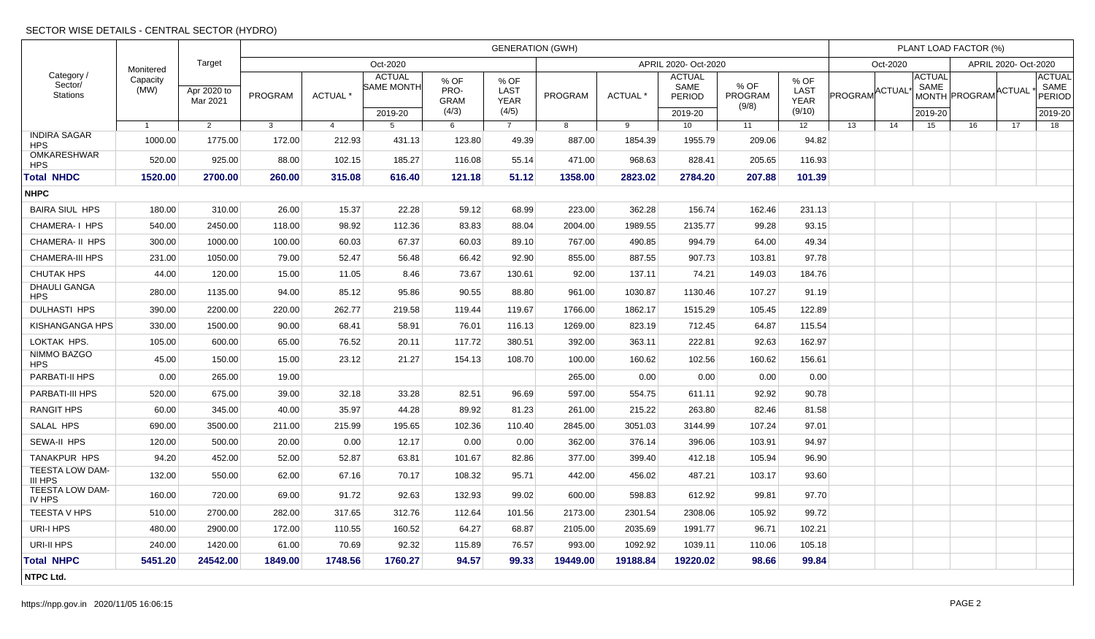# SECTOR WISE DETAILS - CENTRAL SECTOR (HYDRO)

| Category /<br>Sector/<br>Stations       | Monitered        | Target                  | <b>GENERATION (GWH)</b> |                 |                                    |                                      |                                      |                      |                 |                                        |                          |                                              |                 |          |                       | PLANT LOAD FACTOR (%) | <b>ACTUAL</b><br>SAME<br>MONTH PROGRAM ACTUAL<br><b>PERIOD</b><br>2019-20<br>16<br>17<br>18 |  |  |  |  |  |  |
|-----------------------------------------|------------------|-------------------------|-------------------------|-----------------|------------------------------------|--------------------------------------|--------------------------------------|----------------------|-----------------|----------------------------------------|--------------------------|----------------------------------------------|-----------------|----------|-----------------------|-----------------------|---------------------------------------------------------------------------------------------|--|--|--|--|--|--|
|                                         |                  |                         | Oct-2020                |                 |                                    |                                      |                                      | APRIL 2020- Oct-2020 |                 |                                        |                          |                                              |                 | Oct-2020 |                       |                       | APRIL 2020- Oct-2020                                                                        |  |  |  |  |  |  |
|                                         | Capacity<br>(MW) | Apr 2020 to<br>Mar 2021 | PROGRAM                 | <b>ACTUAL</b> * | <b>ACTUAL</b><br><b>SAME MONTH</b> | % OF<br>PRO-<br><b>GRAM</b><br>(4/3) | % OF<br>LAST<br><b>YEAR</b><br>(4/5) | PROGRAM              | <b>ACTUAL</b> * | <b>ACTUAL</b><br>SAME<br><b>PERIOD</b> | % OF<br>PROGRAM<br>(9/8) | % OF<br><b>LAST</b><br><b>YEAR</b><br>(9/10) | PROGRAM ACTUAL' |          | <b>ACTUAL</b><br>SAME |                       |                                                                                             |  |  |  |  |  |  |
|                                         | $\overline{1}$   | $\overline{2}$          | $\mathbf{3}$            | $\overline{4}$  | 2019-20<br>$5^{\circ}$             | 6                                    | $\overline{7}$                       | 8                    | 9               | 2019-20<br>10                          | 11                       | 12                                           | 13              | 14       | 2019-20<br>15         |                       |                                                                                             |  |  |  |  |  |  |
| <b>INDIRA SAGAR</b>                     | 1000.00          | 1775.00                 | 172.00                  | 212.93          | 431.13                             | 123.80                               | 49.39                                | 887.00               | 1854.39         | 1955.79                                | 209.06                   | 94.82                                        |                 |          |                       |                       |                                                                                             |  |  |  |  |  |  |
| <b>HPS</b><br>OMKARESHWAR<br><b>HPS</b> | 520.00           | 925.00                  | 88.00                   | 102.15          | 185.27                             | 116.08                               | 55.14                                | 471.00               | 968.63          | 828.41                                 | 205.65                   | 116.93                                       |                 |          |                       |                       |                                                                                             |  |  |  |  |  |  |
| <b>Total NHDC</b>                       | 1520.00          | 2700.00                 | 260.00                  | 315.08          | 616.40                             | 121.18                               | 51.12                                | 1358.00              | 2823.02         | 2784.20                                | 207.88                   | 101.39                                       |                 |          |                       |                       |                                                                                             |  |  |  |  |  |  |
| <b>NHPC</b>                             |                  |                         |                         |                 |                                    |                                      |                                      |                      |                 |                                        |                          |                                              |                 |          |                       |                       |                                                                                             |  |  |  |  |  |  |
| <b>BAIRA SIUL HPS</b>                   | 180.00           | 310.00                  | 26.00                   | 15.37           | 22.28                              | 59.12                                | 68.99                                | 223.00               | 362.28          | 156.74                                 | 162.46                   | 231.13                                       |                 |          |                       |                       |                                                                                             |  |  |  |  |  |  |
| CHAMERA-I HPS                           | 540.00           | 2450.00                 | 118.00                  | 98.92           | 112.36                             | 83.83                                | 88.04                                | 2004.00              | 1989.55         | 2135.77                                | 99.28                    | 93.15                                        |                 |          |                       |                       |                                                                                             |  |  |  |  |  |  |
| <b>CHAMERA- II HPS</b>                  | 300.00           | 1000.00                 | 100.00                  | 60.03           | 67.37                              | 60.03                                | 89.10                                | 767.00               | 490.85          | 994.79                                 | 64.00                    | 49.34                                        |                 |          |                       |                       |                                                                                             |  |  |  |  |  |  |
| <b>CHAMERA-III HPS</b>                  | 231.00           | 1050.00                 | 79.00                   | 52.47           | 56.48                              | 66.42                                | 92.90                                | 855.00               | 887.55          | 907.73                                 | 103.81                   | 97.78                                        |                 |          |                       |                       |                                                                                             |  |  |  |  |  |  |
| <b>CHUTAK HPS</b>                       | 44.00            | 120.00                  | 15.00                   | 11.05           | 8.46                               | 73.67                                | 130.61                               | 92.00                | 137.11          | 74.21                                  | 149.03                   | 184.76                                       |                 |          |                       |                       |                                                                                             |  |  |  |  |  |  |
| <b>DHAULI GANGA</b><br><b>HPS</b>       | 280.00           | 1135.00                 | 94.00                   | 85.12           | 95.86                              | 90.55                                | 88.80                                | 961.00               | 1030.87         | 1130.46                                | 107.27                   | 91.19                                        |                 |          |                       |                       |                                                                                             |  |  |  |  |  |  |
| <b>DULHASTI HPS</b>                     | 390.00           | 2200.00                 | 220.00                  | 262.77          | 219.58                             | 119.44                               | 119.67                               | 1766.00              | 1862.17         | 1515.29                                | 105.45                   | 122.89                                       |                 |          |                       |                       |                                                                                             |  |  |  |  |  |  |
| KISHANGANGA HPS                         | 330.00           | 1500.00                 | 90.00                   | 68.41           | 58.91                              | 76.01                                | 116.13                               | 1269.00              | 823.19          | 712.45                                 | 64.87                    | 115.54                                       |                 |          |                       |                       |                                                                                             |  |  |  |  |  |  |
| LOKTAK HPS.                             | 105.00           | 600.00                  | 65.00                   | 76.52           | 20.11                              | 117.72                               | 380.51                               | 392.00               | 363.11          | 222.81                                 | 92.63                    | 162.97                                       |                 |          |                       |                       |                                                                                             |  |  |  |  |  |  |
| NIMMO BAZGO<br><b>HPS</b>               | 45.00            | 150.00                  | 15.00                   | 23.12           | 21.27                              | 154.13                               | 108.70                               | 100.00               | 160.62          | 102.56                                 | 160.62                   | 156.61                                       |                 |          |                       |                       |                                                                                             |  |  |  |  |  |  |
| PARBATI-II HPS                          | 0.00             | 265.00                  | 19.00                   |                 |                                    |                                      |                                      | 265.00               | 0.00            | 0.00                                   | 0.00                     | 0.00                                         |                 |          |                       |                       |                                                                                             |  |  |  |  |  |  |
| PARBATI-III HPS                         | 520.00           | 675.00                  | 39.00                   | 32.18           | 33.28                              | 82.51                                | 96.69                                | 597.00               | 554.75          | 611.11                                 | 92.92                    | 90.78                                        |                 |          |                       |                       |                                                                                             |  |  |  |  |  |  |
| <b>RANGIT HPS</b>                       | 60.00            | 345.00                  | 40.00                   | 35.97           | 44.28                              | 89.92                                | 81.23                                | 261.00               | 215.22          | 263.80                                 | 82.46                    | 81.58                                        |                 |          |                       |                       |                                                                                             |  |  |  |  |  |  |
| SALAL HPS                               | 690.00           | 3500.00                 | 211.00                  | 215.99          | 195.65                             | 102.36                               | 110.40                               | 2845.00              | 3051.03         | 3144.99                                | 107.24                   | 97.01                                        |                 |          |                       |                       |                                                                                             |  |  |  |  |  |  |
| <b>SEWA-II HPS</b>                      | 120.00           | 500.00                  | 20.00                   | 0.00            | 12.17                              | 0.00                                 | 0.00                                 | 362.00               | 376.14          | 396.06                                 | 103.91                   | 94.97                                        |                 |          |                       |                       |                                                                                             |  |  |  |  |  |  |
| <b>TANAKPUR HPS</b>                     | 94.20            | 452.00                  | 52.00                   | 52.87           | 63.81                              | 101.67                               | 82.86                                | 377.00               | 399.40          | 412.18                                 | 105.94                   | 96.90                                        |                 |          |                       |                       |                                                                                             |  |  |  |  |  |  |
| <b>TEESTA LOW DAM-</b><br>III HPS       | 132.00           | 550.00                  | 62.00                   | 67.16           | 70.17                              | 108.32                               | 95.71                                | 442.00               | 456.02          | 487.21                                 | 103.17                   | 93.60                                        |                 |          |                       |                       |                                                                                             |  |  |  |  |  |  |
| TEESTA LOW DAM-<br>IV HPS               | 160.00           | 720.00                  | 69.00                   | 91.72           | 92.63                              | 132.93                               | 99.02                                | 600.00               | 598.83          | 612.92                                 | 99.81                    | 97.70                                        |                 |          |                       |                       |                                                                                             |  |  |  |  |  |  |
| <b>TEESTA V HPS</b>                     | 510.00           | 2700.00                 | 282.00                  | 317.65          | 312.76                             | 112.64                               | 101.56                               | 2173.00              | 2301.54         | 2308.06                                | 105.92                   | 99.72                                        |                 |          |                       |                       |                                                                                             |  |  |  |  |  |  |
| URI-I HPS                               | 480.00           | 2900.00                 | 172.00                  | 110.55          | 160.52                             | 64.27                                | 68.87                                | 2105.00              | 2035.69         | 1991.77                                | 96.71                    | 102.21                                       |                 |          |                       |                       |                                                                                             |  |  |  |  |  |  |
| URI-II HPS                              | 240.00           | 1420.00                 | 61.00                   | 70.69           | 92.32                              | 115.89                               | 76.57                                | 993.00               | 1092.92         | 1039.11                                | 110.06                   | 105.18                                       |                 |          |                       |                       |                                                                                             |  |  |  |  |  |  |
| <b>Total NHPC</b>                       | 5451.20          | 24542.00                | 1849.00                 | 1748.56         | 1760.27                            | 94.57                                | 99.33                                | 19449.00             | 19188.84        | 19220.02                               | 98.66                    | 99.84                                        |                 |          |                       |                       |                                                                                             |  |  |  |  |  |  |
| NTPC Ltd.                               |                  |                         |                         |                 |                                    |                                      |                                      |                      |                 |                                        |                          |                                              |                 |          |                       |                       |                                                                                             |  |  |  |  |  |  |